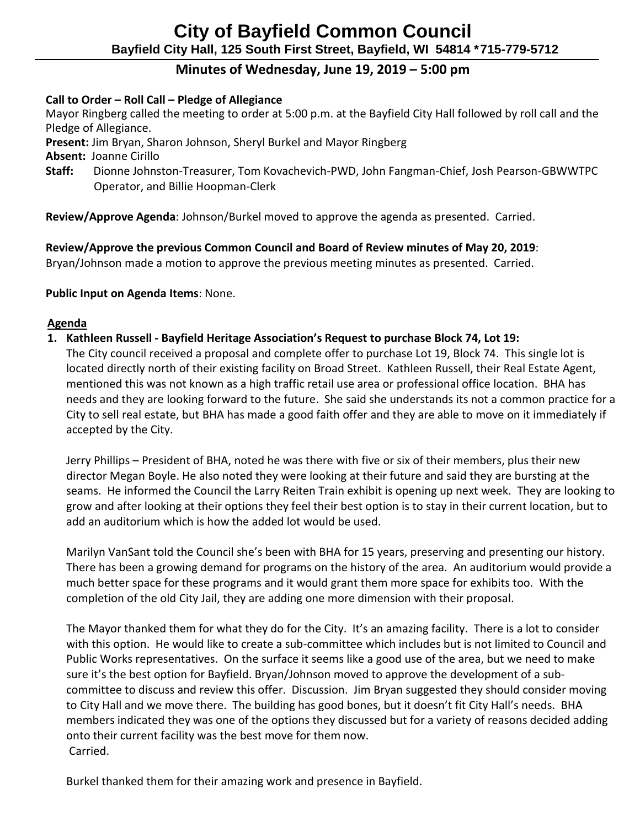# **City of Bayfield Common Council Bayfield City Hall, 125 South First Street, Bayfield, WI 54814 \*715-779-5712**

# **Minutes of Wednesday, June 19, 2019 – 5:00 pm**

## **Call to Order – Roll Call – Pledge of Allegiance**

 Mayor Ringberg called the meeting to order at 5:00 p.m. at the Bayfield City Hall followed by roll call and the Pledge of Allegiance.

**Present:** Jim Bryan, Sharon Johnson, Sheryl Burkel and Mayor Ringberg

 **Absent:** Joanne Cirillo

 **Staff:** Dionne Johnston-Treasurer, Tom Kovachevich-PWD, John Fangman-Chief, Josh Pearson-GBWWTPC Operator, and Billie Hoopman-Clerk

**Review/Approve Agenda**: Johnson/Burkel moved to approve the agenda as presented. Carried.

## **Review/Approve the previous Common Council and Board of Review minutes of May 20, 2019**:

Bryan/Johnson made a motion to approve the previous meeting minutes as presented. Carried.

## **Public Input on Agenda Items**: None.

#### **Agenda**

**1. Kathleen Russell - Bayfield Heritage Association's Request to purchase Block 74, Lot 19:**

The City council received a proposal and complete offer to purchase Lot 19, Block 74. This single lot is located directly north of their existing facility on Broad Street. Kathleen Russell, their Real Estate Agent, mentioned this was not known as a high traffic retail use area or professional office location. BHA has needs and they are looking forward to the future. She said she understands its not a common practice for a City to sell real estate, but BHA has made a good faith offer and they are able to move on it immediately if accepted by the City.

Jerry Phillips – President of BHA, noted he was there with five or six of their members, plus their new director Megan Boyle. He also noted they were looking at their future and said they are bursting at the seams. He informed the Council the Larry Reiten Train exhibit is opening up next week. They are looking to grow and after looking at their options they feel their best option is to stay in their current location, but to add an auditorium which is how the added lot would be used.

Marilyn VanSant told the Council she's been with BHA for 15 years, preserving and presenting our history. There has been a growing demand for programs on the history of the area. An auditorium would provide a much better space for these programs and it would grant them more space for exhibits too. With the completion of the old City Jail, they are adding one more dimension with their proposal.

The Mayor thanked them for what they do for the City. It's an amazing facility. There is a lot to consider with this option. He would like to create a sub-committee which includes but is not limited to Council and Public Works representatives. On the surface it seems like a good use of the area, but we need to make sure it's the best option for Bayfield. Bryan/Johnson moved to approve the development of a subcommittee to discuss and review this offer. Discussion. Jim Bryan suggested they should consider moving to City Hall and we move there. The building has good bones, but it doesn't fit City Hall's needs. BHA members indicated they was one of the options they discussed but for a variety of reasons decided adding onto their current facility was the best move for them now. Carried.

Burkel thanked them for their amazing work and presence in Bayfield.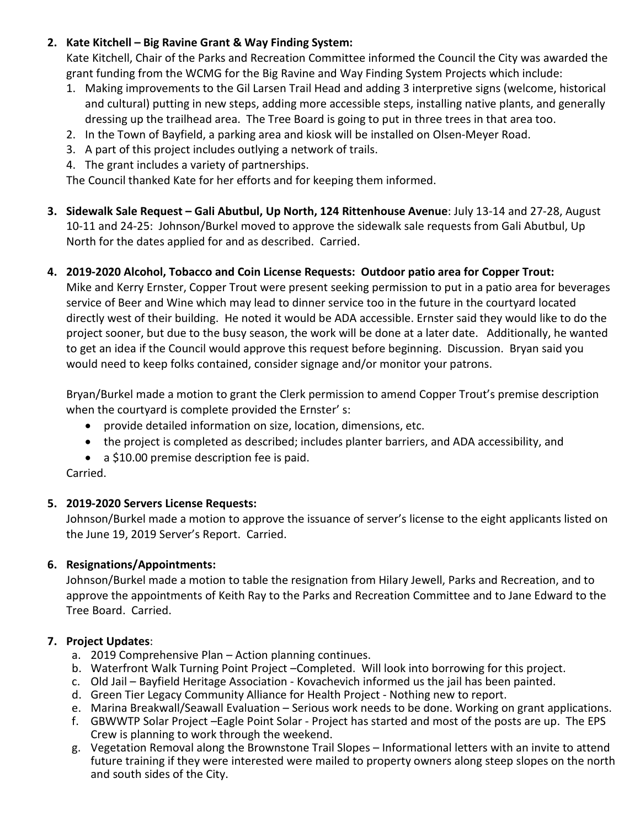## **2. Kate Kitchell – Big Ravine Grant & Way Finding System:**

Kate Kitchell, Chair of the Parks and Recreation Committee informed the Council the City was awarded the grant funding from the WCMG for the Big Ravine and Way Finding System Projects which include:

- 1. Making improvements to the Gil Larsen Trail Head and adding 3 interpretive signs (welcome, historical and cultural) putting in new steps, adding more accessible steps, installing native plants, and generally dressing up the trailhead area. The Tree Board is going to put in three trees in that area too.
- 2. In the Town of Bayfield, a parking area and kiosk will be installed on Olsen-Meyer Road.
- 3. A part of this project includes outlying a network of trails.
- 4. The grant includes a variety of partnerships.

The Council thanked Kate for her efforts and for keeping them informed.

**3. Sidewalk Sale Request – Gali Abutbul, Up North, 124 Rittenhouse Avenue**: July 13-14 and 27-28, August 10-11 and 24-25: Johnson/Burkel moved to approve the sidewalk sale requests from Gali Abutbul, Up North for the dates applied for and as described. Carried.

## **4. 2019-2020 Alcohol, Tobacco and Coin License Requests: Outdoor patio area for Copper Trout:**

Mike and Kerry Ernster, Copper Trout were present seeking permission to put in a patio area for beverages service of Beer and Wine which may lead to dinner service too in the future in the courtyard located directly west of their building. He noted it would be ADA accessible. Ernster said they would like to do the project sooner, but due to the busy season, the work will be done at a later date. Additionally, he wanted to get an idea if the Council would approve this request before beginning. Discussion. Bryan said you would need to keep folks contained, consider signage and/or monitor your patrons.

Bryan/Burkel made a motion to grant the Clerk permission to amend Copper Trout's premise description when the courtyard is complete provided the Ernster' s:

- provide detailed information on size, location, dimensions, etc.
- the project is completed as described; includes planter barriers, and ADA accessibility, and
- a \$10.00 premise description fee is paid.

Carried.

## **5. 2019-2020 Servers License Requests:**

Johnson/Burkel made a motion to approve the issuance of server's license to the eight applicants listed on the June 19, 2019 Server's Report. Carried.

# **6. Resignations/Appointments:**

Johnson/Burkel made a motion to table the resignation from Hilary Jewell, Parks and Recreation, and to approve the appointments of Keith Ray to the Parks and Recreation Committee and to Jane Edward to the Tree Board. Carried.

# **7. Project Updates**:

- a. 2019 Comprehensive Plan Action planning continues.
- b. Waterfront Walk Turning Point Project –Completed. Will look into borrowing for this project.
- c. Old Jail Bayfield Heritage Association Kovachevich informed us the jail has been painted.
- d. Green Tier Legacy Community Alliance for Health Project Nothing new to report.
- e. Marina Breakwall/Seawall Evaluation Serious work needs to be done. Working on grant applications.
- f. GBWWTP Solar Project –Eagle Point Solar Project has started and most of the posts are up. The EPS Crew is planning to work through the weekend.
- g. Vegetation Removal along the Brownstone Trail Slopes Informational letters with an invite to attend future training if they were interested were mailed to property owners along steep slopes on the north and south sides of the City.